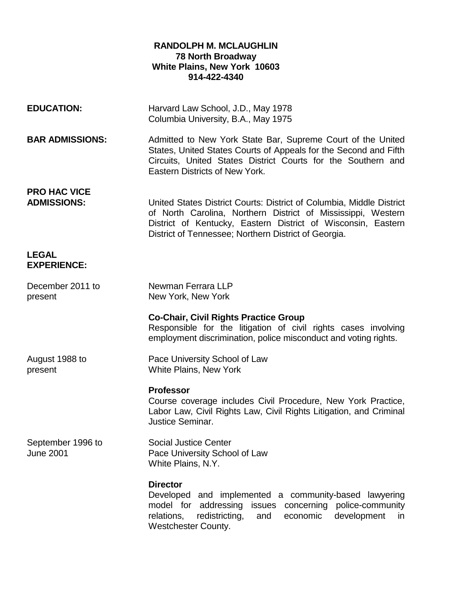# **RANDOLPH M. MCLAUGHLIN 78 North Broadway White Plains, New York 10603 914-422-4340**

| <b>EDUCATION:</b>                         | Harvard Law School, J.D., May 1978<br>Columbia University, B.A., May 1975                                                                                                                                                                                    |
|-------------------------------------------|--------------------------------------------------------------------------------------------------------------------------------------------------------------------------------------------------------------------------------------------------------------|
| <b>BAR ADMISSIONS:</b>                    | Admitted to New York State Bar, Supreme Court of the United<br>States, United States Courts of Appeals for the Second and Fifth<br>Circuits, United States District Courts for the Southern and<br>Eastern Districts of New York.                            |
| <b>PRO HAC VICE</b><br><b>ADMISSIONS:</b> | United States District Courts: District of Columbia, Middle District<br>of North Carolina, Northern District of Mississippi, Western<br>District of Kentucky, Eastern District of Wisconsin, Eastern<br>District of Tennessee; Northern District of Georgia. |
| <b>LEGAL</b><br><b>EXPERIENCE:</b>        |                                                                                                                                                                                                                                                              |
| December 2011 to<br>present               | Newman Ferrara LLP<br>New York, New York                                                                                                                                                                                                                     |
|                                           | <b>Co-Chair, Civil Rights Practice Group</b><br>Responsible for the litigation of civil rights cases involving<br>employment discrimination, police misconduct and voting rights.                                                                            |
| August 1988 to<br>present                 | Pace University School of Law<br><b>White Plains, New York</b>                                                                                                                                                                                               |
|                                           | <b>Professor</b><br>Course coverage includes Civil Procedure, New York Practice,<br>Labor Law, Civil Rights Law, Civil Rights Litigation, and Criminal<br><b>Justice Seminar.</b>                                                                            |
| September 1996 to<br><b>June 2001</b>     | <b>Social Justice Center</b><br>Pace University School of Law<br>White Plains, N.Y.                                                                                                                                                                          |
|                                           | <b>Director</b><br>Developed and implemented a community-based lawyering<br>model for addressing<br>concerning police-community<br>issues<br>development<br>relations,<br>redistricting,<br>economic<br>and<br>in.<br>Westchester County.                    |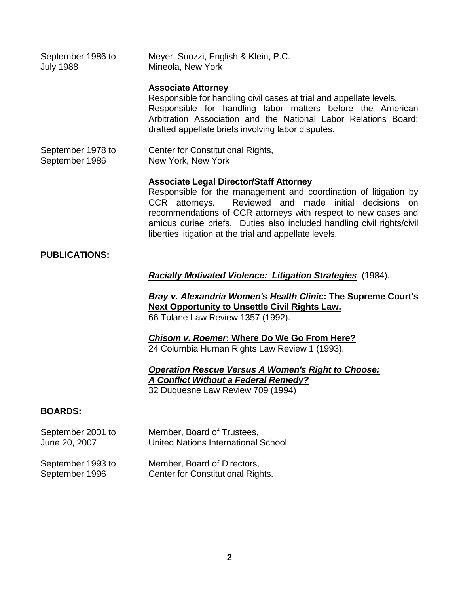September 1986 to Meyer, Suozzi, English & Klein, P.C. July 1988 Mineola, New York

#### **Associate Attorney**

Responsible for handling civil cases at trial and appellate levels. Responsible for handling labor matters before the American Arbitration Association and the National Labor Relations Board; drafted appellate briefs involving labor disputes.

September 1978 to Center for Constitutional Rights, September 1986 New York, New York

# **Associate Legal Director/Staff Attorney**

Responsible for the management and coordination of litigation by CCR attorneys. Reviewed and made initial decisions on recommendations of CCR attorneys with respect to new cases and amicus curiae briefs. Duties also included handling civil rights/civil liberties litigation at the trial and appellate levels.

# **PUBLICATIONS:**

*Racially Motivated Violence: Litigation Strategies*. (1984).

*Bray v. Alexandria Women's Health Clinic***: The Supreme Court's Next Opportunity to Unsettle Civil Rights Law.** 66 Tulane Law Review 1357 (1992).

*Chisom v. Roemer***: Where Do We Go From Here?** 24 Columbia Human Rights Law Review 1 (1993).

*Operation Rescue Versus A Women's Right to Choose: A Conflict Without a Federal Remedy?* 32 Duquesne Law Review 709 (1994)

# **BOARDS:**

| September 2001 to | Member, Board of Trustees,           |
|-------------------|--------------------------------------|
| June 20, 2007     | United Nations International School. |

| September 1993 to | Member, Board of Directors,       |
|-------------------|-----------------------------------|
| September 1996    | Center for Constitutional Rights. |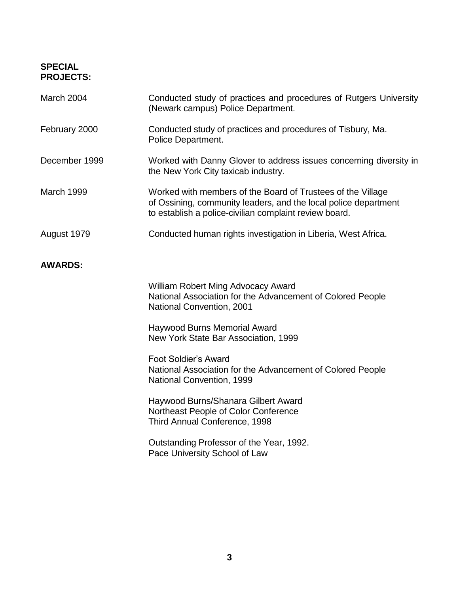# **SPECIAL PROJECTS:**

| March 2004     | Conducted study of practices and procedures of Rutgers University<br>(Newark campus) Police Department.                                                                                  |
|----------------|------------------------------------------------------------------------------------------------------------------------------------------------------------------------------------------|
| February 2000  | Conducted study of practices and procedures of Tisbury, Ma.<br>Police Department.                                                                                                        |
| December 1999  | Worked with Danny Glover to address issues concerning diversity in<br>the New York City taxicab industry.                                                                                |
| March 1999     | Worked with members of the Board of Trustees of the Village<br>of Ossining, community leaders, and the local police department<br>to establish a police-civilian complaint review board. |
| August 1979    | Conducted human rights investigation in Liberia, West Africa.                                                                                                                            |
| <b>AWARDS:</b> |                                                                                                                                                                                          |
|                | <b>William Robert Ming Advocacy Award</b><br>National Association for the Advancement of Colored People<br><b>National Convention, 2001</b>                                              |
|                | Haywood Burns Memorial Award<br>New York State Bar Association, 1999                                                                                                                     |
|                | <b>Foot Soldier's Award</b><br>National Association for the Advancement of Colored People<br>National Convention, 1999                                                                   |
|                | Haywood Burns/Shanara Gilbert Award<br>Northeast People of Color Conference<br>Third Annual Conference, 1998                                                                             |
|                | Outstanding Professor of the Year, 1992.<br>Pace University School of Law                                                                                                                |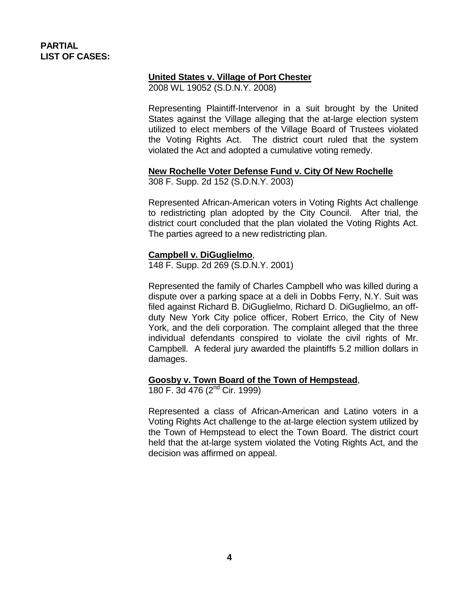# **PARTIAL LIST OF CASES:**

# **United States v. Village of Port Chester**

2008 WL 19052 (S.D.N.Y. 2008)

Representing Plaintiff-Intervenor in a suit brought by the United States against the Village alleging that the at-large election system utilized to elect members of the Village Board of Trustees violated the Voting Rights Act. The district court ruled that the system violated the Act and adopted a cumulative voting remedy.

# **New Rochelle Voter Defense Fund v. City Of New Rochelle**

308 F. Supp. 2d 152 (S.D.N.Y. 2003)

Represented African-American voters in Voting Rights Act challenge to redistricting plan adopted by the City Council. After trial, the district court concluded that the plan violated the Voting Rights Act. The parties agreed to a new redistricting plan.

# **Campbell v. DiGuglielmo**,

148 F. Supp. 2d 269 (S.D.N.Y. 2001)

Represented the family of Charles Campbell who was killed during a dispute over a parking space at a deli in Dobbs Ferry, N.Y. Suit was filed against Richard B. DiGuglielmo, Richard D. DiGuglielmo, an offduty New York City police officer, Robert Errico, the City of New York, and the deli corporation. The complaint alleged that the three individual defendants conspired to violate the civil rights of Mr. Campbell. A federal jury awarded the plaintiffs 5.2 million dollars in damages.

# **Goosby v. Town Board of the Town of Hempstead**,

180 F. 3d 476 (2nd Cir. 1999)

Represented a class of African-American and Latino voters in a Voting Rights Act challenge to the at-large election system utilized by the Town of Hempstead to elect the Town Board. The district court held that the at-large system violated the Voting Rights Act, and the decision was affirmed on appeal.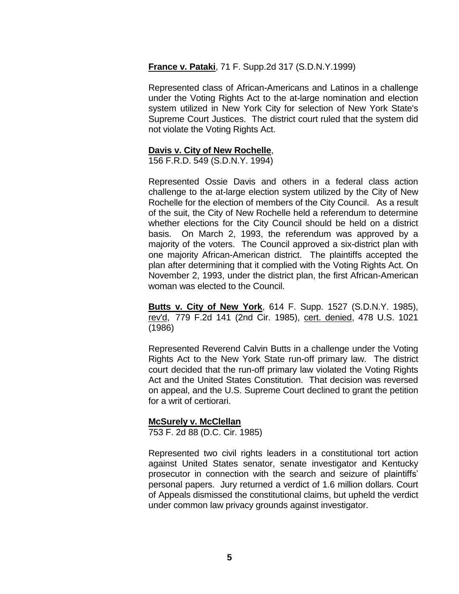**France v. Pataki**, 71 F. Supp.2d 317 (S.D.N.Y.1999)

Represented class of African-Americans and Latinos in a challenge under the Voting Rights Act to the at-large nomination and election system utilized in New York City for selection of New York State's Supreme Court Justices. The district court ruled that the system did not violate the Voting Rights Act.

# **Davis v. City of New Rochelle**,

156 F.R.D. 549 (S.D.N.Y. 1994)

Represented Ossie Davis and others in a federal class action challenge to the at-large election system utilized by the City of New Rochelle for the election of members of the City Council. As a result of the suit, the City of New Rochelle held a referendum to determine whether elections for the City Council should be held on a district basis. On March 2, 1993, the referendum was approved by a majority of the voters. The Council approved a six-district plan with one majority African-American district. The plaintiffs accepted the plan after determining that it complied with the Voting Rights Act. On November 2, 1993, under the district plan, the first African-American woman was elected to the Council.

**Butts v. City of New York**, 614 F. Supp. 1527 (S.D.N.Y. 1985), rev'd, 779 F.2d 141 (2nd Cir. 1985), cert. denied, 478 U.S. 1021 (1986)

Represented Reverend Calvin Butts in a challenge under the Voting Rights Act to the New York State run-off primary law. The district court decided that the run-off primary law violated the Voting Rights Act and the United States Constitution. That decision was reversed on appeal, and the U.S. Supreme Court declined to grant the petition for a writ of certiorari.

# **McSurely v. McClellan**

753 F. 2d 88 (D.C. Cir. 1985)

Represented two civil rights leaders in a constitutional tort action against United States senator, senate investigator and Kentucky prosecutor in connection with the search and seizure of plaintiffs' personal papers. Jury returned a verdict of 1.6 million dollars. Court of Appeals dismissed the constitutional claims, but upheld the verdict under common law privacy grounds against investigator.